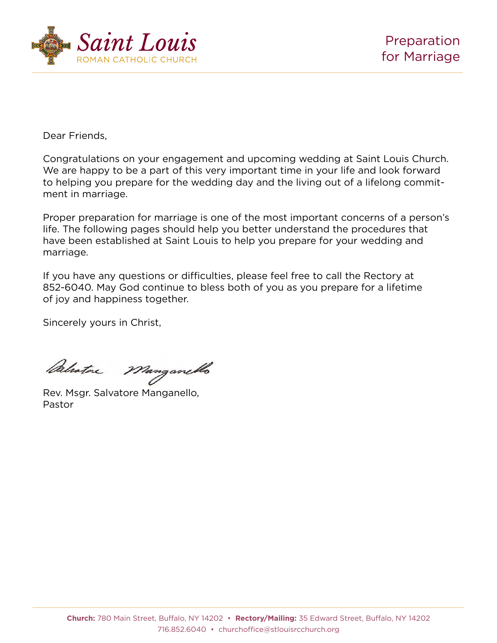

Dear Friends, Dear Friends,

Congratulations on your engagement and upcoming wedding at Saint Louis Church. Congratulations on your engagement and upcoming wedding at Saint Louis We are happy to be a part of this very important time in your life and look forward to helping you prepare for the wedding day and the living out of a lifelong commitment in marriage.

Proper preparation for marriage is one of the most important concerns of a person's  $\overline{\phantom{a}}$ life. The following pages should help you better understand the procedures that have been established at Saint Louis to help you prepare for your wedding and<br>marriage marriage.

If you have any questions or difficulties, please feel free to call the Rectory at If you have any questions or difficulties, please feel free to call the Rectory at may of have any questions or annoances, prease rest free to sail the ricetory at a lifetime of  $52-6040$ . May God continue to bless both of you as you prepare for a lifetime of joy and happiness together. and happiness together.

Sincerely yours in Christ,

Palator Manganello

Rev. Msgr. Salvatore Manganello, Rev. Msgr. Salvatore Manganello, Pastor Pastor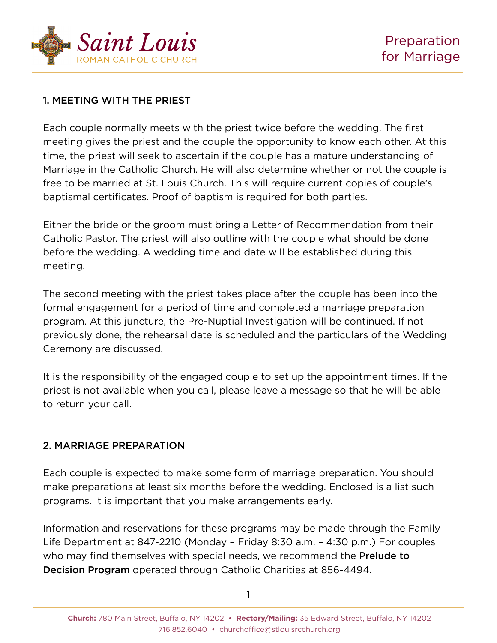

## 1. MEETING WITH THE PRIEST

Each couple normally meets with the priest twice before the wedding. The first meeting gives the priest and the couple the opportunity to know each other. At this time, the priest will seek to ascertain if the couple has a mature understanding of Marriage in the Catholic Church. He will also determine whether or not the couple is free to be married at St. Louis Church. This will require current copies of couple's baptismal certificates. Proof of baptism is required for both parties.

Either the bride or the groom must bring a Letter of Recommendation from their Catholic Pastor. The priest will also outline with the couple what should be done before the wedding. A wedding time and date will be established during this meeting.

The second meeting with the priest takes place after the couple has been into the formal engagement for a period of time and completed a marriage preparation program. At this juncture, the Pre-Nuptial Investigation will be continued. If not previously done, the rehearsal date is scheduled and the particulars of the Wedding Ceremony are discussed.

It is the responsibility of the engaged couple to set up the appointment times. If the priest is not available when you call, please leave a message so that he will be able to return your call.

## 2. MARRIAGE PREPARATION

Each couple is expected to make some form of marriage preparation. You should make preparations at least six months before the wedding. Enclosed is a list such programs. It is important that you make arrangements early.

Information and reservations for these programs may be made through the Family Life Department at 847-2210 (Monday – Friday 8:30 a.m. – 4:30 p.m.) For couples who may find themselves with special needs, we recommend the **Prelude to** Decision Program operated through Catholic Charities at 856-4494.

1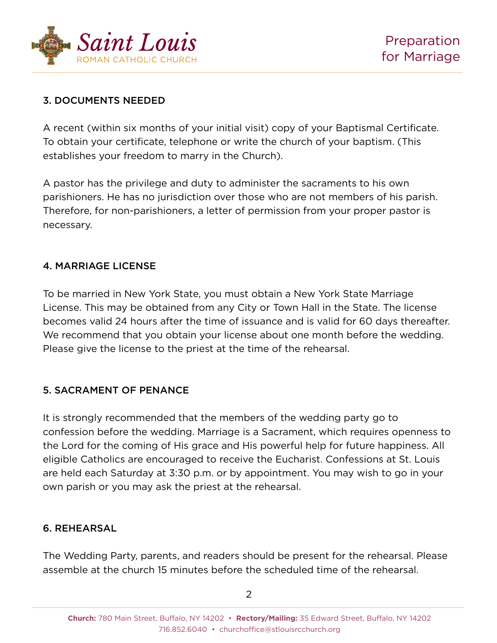

## 3. DOCUMENTS NEEDED

A recent (within six months of your initial visit) copy of your Baptismal Certificate. To obtain your certificate, telephone or write the church of your baptism. (This establishes your freedom to marry in the Church).

A pastor has the privilege and duty to administer the sacraments to his own parishioners. He has no jurisdiction over those who are not members of his parish. Therefore, for non-parishioners, a letter of permission from your proper pastor is necessary.

## 4. MARRIAGE LICENSE

To be married in New York State, you must obtain a New York State Marriage License. This may be obtained from any City or Town Hall in the State. The license becomes valid 24 hours after the time of issuance and is valid for 60 days thereafter. We recommend that you obtain your license about one month before the wedding. Please give the license to the priest at the time of the rehearsal.

## 5. SACRAMENT OF PENANCE

It is strongly recommended that the members of the wedding party go to confession before the wedding. Marriage is a Sacrament, which requires openness to the Lord for the coming of His grace and His powerful help for future happiness. All eligible Catholics are encouraged to receive the Eucharist. Confessions at St. Louis are held each Saturday at 3:30 p.m. or by appointment. You may wish to go in your own parish or you may ask the priest at the rehearsal.

## 6. REHEARSAL

The Wedding Party, parents, and readers should be present for the rehearsal. Please assemble at the church 15 minutes before the scheduled time of the rehearsal.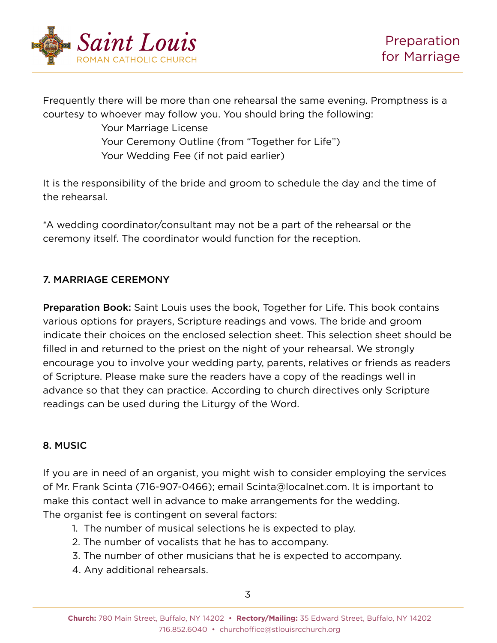

Frequently there will be more than one rehearsal the same evening. Promptness is a courtesy to whoever may follow you. You should bring the following:

> Your Marriage License Your Ceremony Outline (from "Together for Life") Your Wedding Fee (if not paid earlier)

It is the responsibility of the bride and groom to schedule the day and the time of the rehearsal.

\*A wedding coordinator/consultant may not be a part of the rehearsal or the ceremony itself. The coordinator would function for the reception.

## 7. MARRIAGE CEREMONY

Preparation Book: Saint Louis uses the book, Together for Life. This book contains various options for prayers, Scripture readings and vows. The bride and groom indicate their choices on the enclosed selection sheet. This selection sheet should be filled in and returned to the priest on the night of your rehearsal. We strongly encourage you to involve your wedding party, parents, relatives or friends as readers of Scripture. Please make sure the readers have a copy of the readings well in advance so that they can practice. According to church directives only Scripture readings can be used during the Liturgy of the Word.

## 8. MUSIC

If you are in need of an organist, you might wish to consider employing the services of Mr. Frank Scinta (716-907-0466); email Scinta@localnet.com. It is important to make this contact well in advance to make arrangements for the wedding. The organist fee is contingent on several factors:

- 1. The number of musical selections he is expected to play.
- 2. The number of vocalists that he has to accompany.
- 3. The number of other musicians that he is expected to accompany.
- 4. Any additional rehearsals.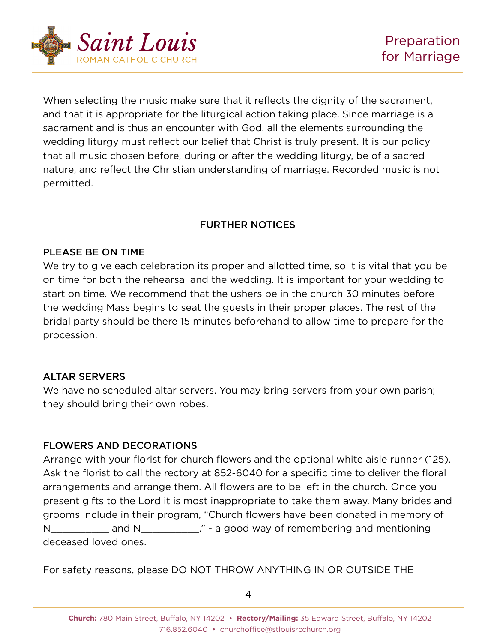

When selecting the music make sure that it reflects the dignity of the sacrament, and that it is appropriate for the liturgical action taking place. Since marriage is a sacrament and is thus an encounter with God, all the elements surrounding the wedding liturgy must reflect our belief that Christ is truly present. It is our policy that all music chosen before, during or after the wedding liturgy, be of a sacred nature, and reflect the Christian understanding of marriage. Recorded music is not permitted.

## FURTHER NOTICES

#### PLEASE BE ON TIME

We try to give each celebration its proper and allotted time, so it is vital that you be on time for both the rehearsal and the wedding. It is important for your wedding to start on time. We recommend that the ushers be in the church 30 minutes before the wedding Mass begins to seat the guests in their proper places. The rest of the bridal party should be there 15 minutes beforehand to allow time to prepare for the procession.

## ALTAR SERVERS

We have no scheduled altar servers. You may bring servers from your own parish; they should bring their own robes.

## FLOWERS AND DECORATIONS

Arrange with your florist for church flowers and the optional white aisle runner (125). Ask the florist to call the rectory at 852-6040 for a specific time to deliver the floral arrangements and arrange them. All flowers are to be left in the church. Once you present gifts to the Lord it is most inappropriate to take them away. Many brides and grooms include in their program, "Church flowers have been donated in memory of N\_\_\_\_\_\_\_\_\_\_\_ and N\_\_\_\_\_\_\_\_\_\_\_\_." - a good way of remembering and mentioning deceased loved ones.

For safety reasons, please DO NOT THROW ANYTHING IN OR OUTSIDE THE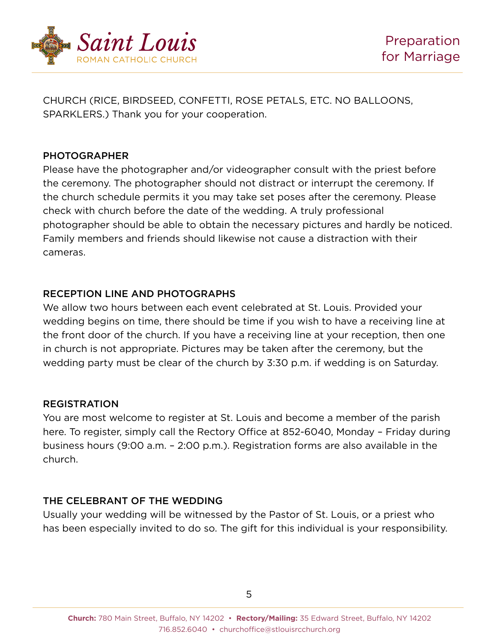

CHURCH (RICE, BIRDSEED, CONFETTI, ROSE PETALS, ETC. NO BALLOONS, SPARKLERS.) Thank you for your cooperation.

#### PHOTOGRAPHER

Please have the photographer and/or videographer consult with the priest before the ceremony. The photographer should not distract or interrupt the ceremony. If the church schedule permits it you may take set poses after the ceremony. Please check with church before the date of the wedding. A truly professional photographer should be able to obtain the necessary pictures and hardly be noticed. Family members and friends should likewise not cause a distraction with their cameras.

## RECEPTION LINE AND PHOTOGRAPHS

We allow two hours between each event celebrated at St. Louis. Provided your wedding begins on time, there should be time if you wish to have a receiving line at the front door of the church. If you have a receiving line at your reception, then one in church is not appropriate. Pictures may be taken after the ceremony, but the wedding party must be clear of the church by 3:30 p.m. if wedding is on Saturday.

## REGISTRATION

You are most welcome to register at St. Louis and become a member of the parish here. To register, simply call the Rectory Office at 852-6040, Monday – Friday during business hours (9:00 a.m. – 2:00 p.m.). Registration forms are also available in the church.

## THE CELEBRANT OF THE WEDDING

Usually your wedding will be witnessed by the Pastor of St. Louis, or a priest who has been especially invited to do so. The gift for this individual is your responsibility.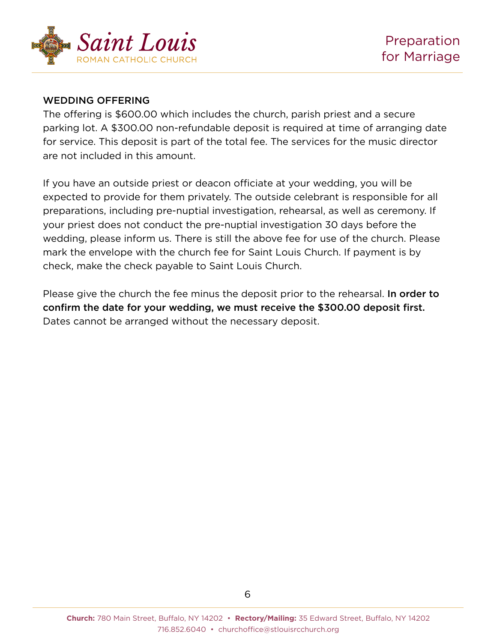

#### WEDDING OFFERING

The offering is \$600.00 which includes the church, parish priest and a secure parking lot. A \$300.00 non-refundable deposit is required at time of arranging date for service. This deposit is part of the total fee. The services for the music director are not included in this amount.

If you have an outside priest or deacon officiate at your wedding, you will be expected to provide for them privately. The outside celebrant is responsible for all preparations, including pre-nuptial investigation, rehearsal, as well as ceremony. If your priest does not conduct the pre-nuptial investigation 30 days before the wedding, please inform us. There is still the above fee for use of the church. Please mark the envelope with the church fee for Saint Louis Church. If payment is by check, make the check payable to Saint Louis Church.

Please give the church the fee minus the deposit prior to the rehearsal. In order to confirm the date for your wedding, we must receive the \$300.00 deposit first. Dates cannot be arranged without the necessary deposit.